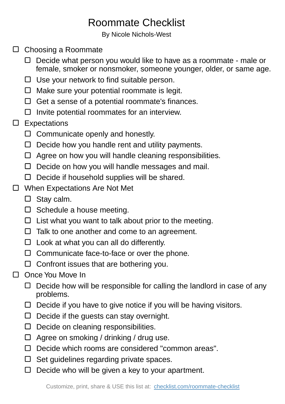## Roommate Checklist

By Nicole Nichols-West

- □ Choosing a Roommate
	- $\Box$  Decide what person you would like to have as a roommate male or female, smoker or nonsmoker, someone younger, older, or same age.
	- $\Box$  Use your network to find suitable person.
	- $\Box$  Make sure your potential roommate is legit.
	- $\Box$  Get a sense of a potential roommate's finances.
	- $\square$  Invite potential roommates for an interview.
- $\square$  Expectations
	- $\Box$  Communicate openly and honestly.
	- $\Box$  Decide how you handle rent and utility payments.
	- □ Agree on how you will handle cleaning responsibilities.
	- $\Box$  Decide on how you will handle messages and mail.
	- $\Box$  Decide if household supplies will be shared.
- □ When Expectations Are Not Met
	- □ Stay calm.
	- $\square$  Schedule a house meeting.
	- $\Box$  List what you want to talk about prior to the meeting.
	- $\Box$  Talk to one another and come to an agreement.
	- $\Box$  Look at what you can all do differently.
	- $\Box$  Communicate face-to-face or over the phone.
	- $\Box$  Confront issues that are bothering you.
- $\Box$  Once You Move In
	- $\Box$  Decide how will be responsible for calling the landlord in case of any problems.
	- $\Box$  Decide if you have to give notice if you will be having visitors.
	- $\Box$  Decide if the guests can stay overnight.
	- $\Box$  Decide on cleaning responsibilities.
	- $\Box$  Agree on smoking / drinking / drug use.
	- D Decide which rooms are considered "common areas".
	- $\Box$  Set quidelines regarding private spaces.
	- $\Box$  Decide who will be given a key to your apartment.